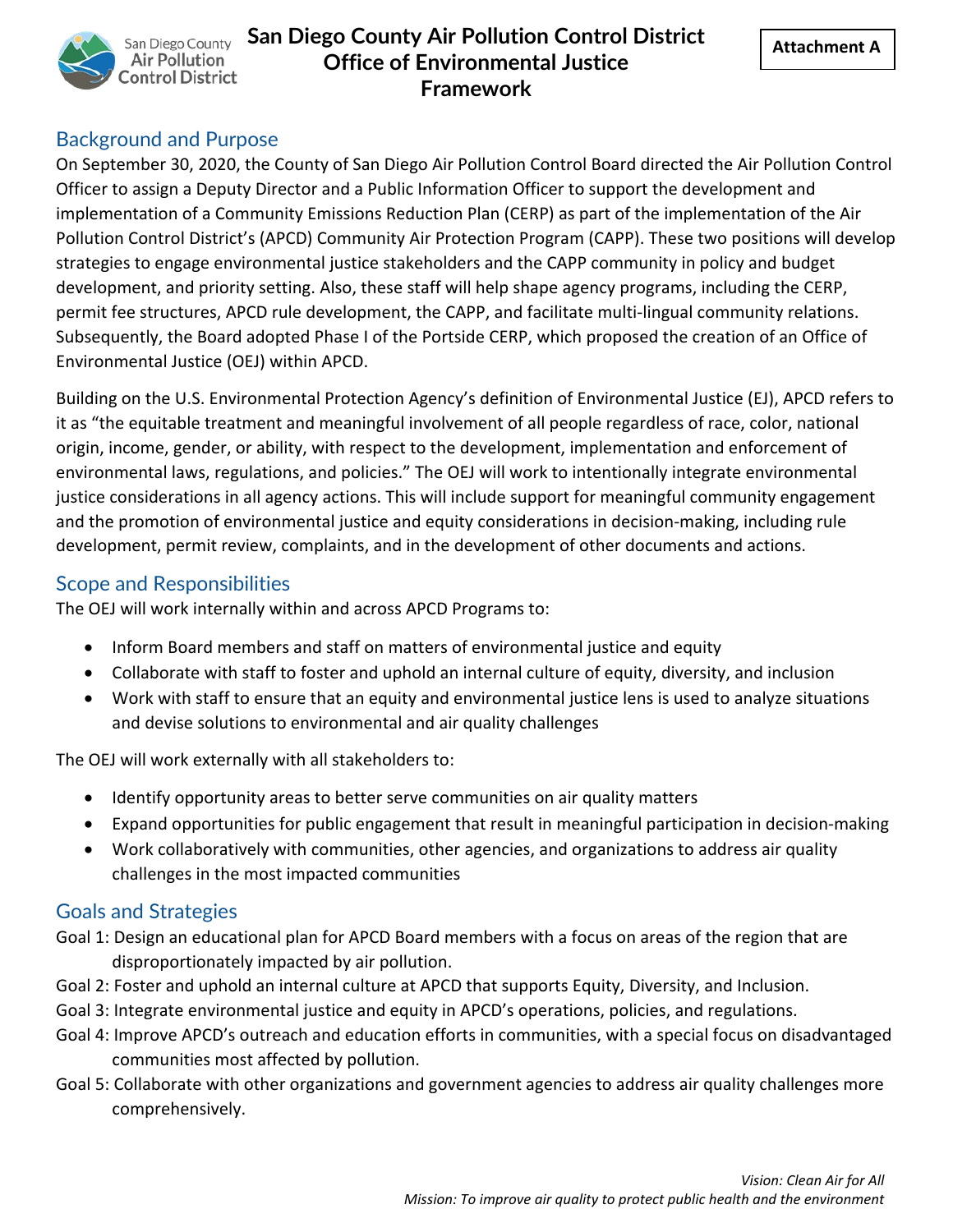

### Background and Purpose

On September 30, 2020, the County of San Diego Air Pollution Control Board directed the Air Pollution Control Officer to assign a Deputy Director and a Public Information Officer to support the development and implementation of a Community Emissions Reduction Plan (CERP) as part of the implementation of the Air Pollution Control District's (APCD) Community Air Protection Program (CAPP). These two positions will develop strategies to engage environmental justice stakeholders and the CAPP community in policy and budget development, and priority setting. Also, these staff will help shape agency programs, including the CERP, permit fee structures, APCD rule development, the CAPP, and facilitate multi-lingual community relations. Subsequently, the Board adopted Phase I of the Portside CERP, which proposed the creation of an Office of Environmental Justice (OEJ) within APCD.

Building on the U.S. Environmental Protection Agency's definition of Environmental Justice (EJ), APCD refers to it as "the equitable treatment and meaningful involvement of all people regardless of race, color, national origin, income, gender, or ability, with respect to the development, implementation and enforcement of environmental laws, regulations, and policies." The OEJ will work to intentionally integrate environmental justice considerations in all agency actions. This will include support for meaningful community engagement and the promotion of environmental justice and equity considerations in decision-making, including rule development, permit review, complaints, and in the development of other documents and actions.

### Scope and Responsibilities

The OEJ will work internally within and across APCD Programs to:

- Inform Board members and staff on matters of environmental justice and equity
- Collaborate with staff to foster and uphold an internal culture of equity, diversity, and inclusion
- Work with staff to ensure that an equity and environmental justice lens is used to analyze situations and devise solutions to environmental and air quality challenges

The OEJ will work externally with all stakeholders to:

- Identify opportunity areas to better serve communities on air quality matters
- Expand opportunities for public engagement that result in meaningful participation in decision-making
- Work collaboratively with communities, other agencies, and organizations to address air quality challenges in the most impacted communities

### Goals and Strategies

- Goal 1: Design an educational plan for APCD Board members with a focus on areas of the region that are disproportionately impacted by air pollution.
- Goal 2: Foster and uphold an internal culture at APCD that supports Equity, Diversity, and Inclusion.
- Goal 3: Integrate environmental justice and equity in APCD's operations, policies, and regulations.
- Goal 4: Improve APCD's outreach and education efforts in communities, with a special focus on disadvantaged communities most affected by pollution.
- Goal 5: Collaborate with other organizations and government agencies to address air quality challenges more comprehensively.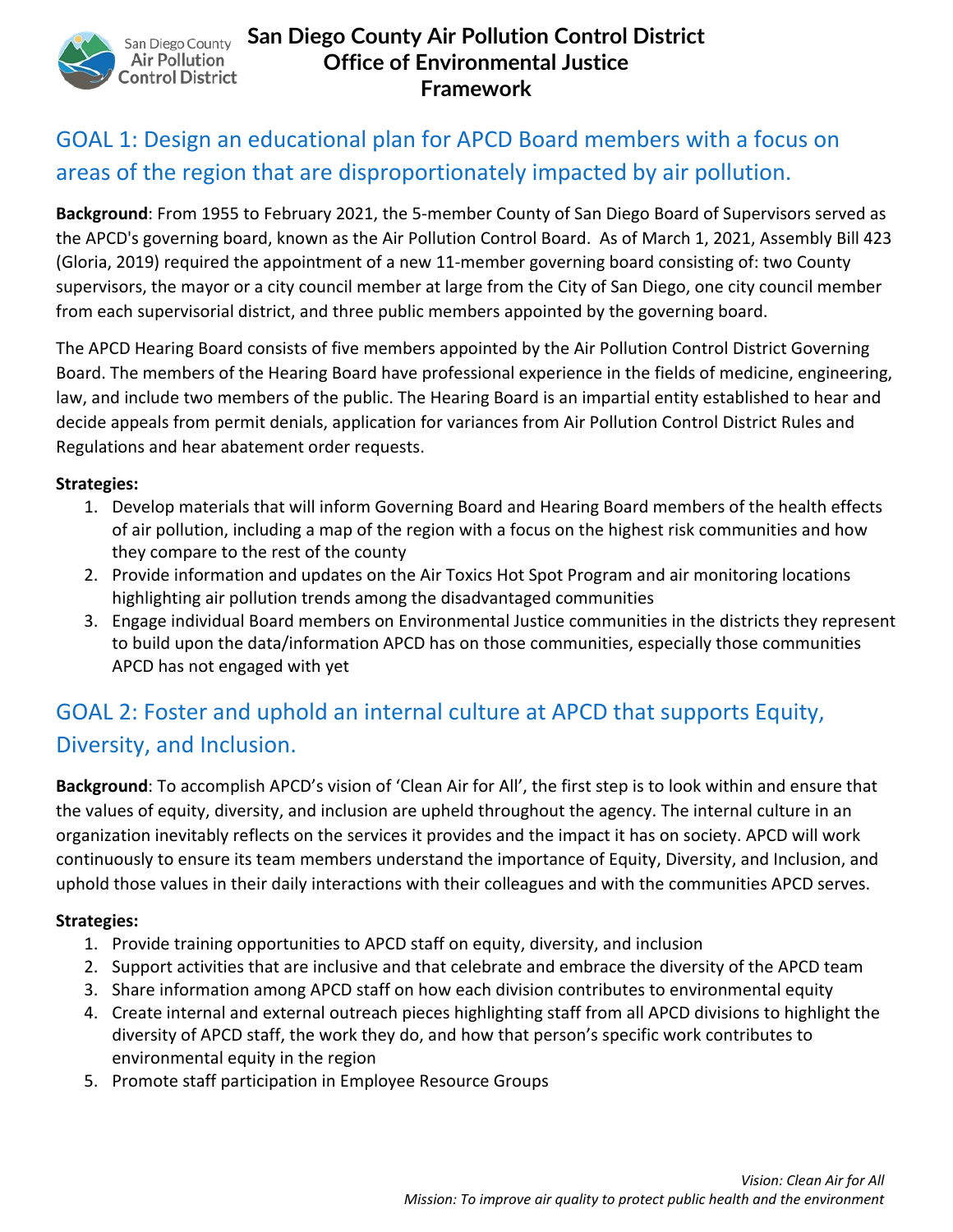

# GOAL 1: Design an educational plan for APCD Board members with a focus on areas of the region that are disproportionately impacted by air pollution.

**Background**: From 1955 to February 2021, the 5-member County of San Diego Board of Supervisors served as the APCD's governing board, known as the Air Pollution Control Board. As of March 1, 2021, Assembly Bill 423 (Gloria, 2019) required the appointment of a new 11-member governing board consisting of: two County supervisors, the mayor or a city council member at large from the City of San Diego, one city council member from each supervisorial district, and three public members appointed by the governing board.

The APCD Hearing Board consists of five members appointed by the Air Pollution Control District Governing Board. The members of the Hearing Board have professional experience in the fields of medicine, engineering, law, and include two members of the public. The Hearing Board is an impartial entity established to hear and decide appeals from permit denials, application for variances from Air Pollution Control District Rules and Regulations and hear abatement order requests.

#### **Strategies:**

- 1. Develop materials that will inform Governing Board and Hearing Board members of the health effects of air pollution, including a map of the region with a focus on the highest risk communities and how they compare to the rest of the county
- 2. Provide information and updates on the Air Toxics Hot Spot Program and air monitoring locations highlighting air pollution trends among the disadvantaged communities
- 3. Engage individual Board members on Environmental Justice communities in the districts they represent to build upon the data/information APCD has on those communities, especially those communities APCD has not engaged with yet

# GOAL 2: Foster and uphold an internal culture at APCD that supports Equity, Diversity, and Inclusion.

**Background**: To accomplish APCD's vision of 'Clean Air for All', the first step is to look within and ensure that the values of equity, diversity, and inclusion are upheld throughout the agency. The internal culture in an organization inevitably reflects on the services it provides and the impact it has on society. APCD will work continuously to ensure its team members understand the importance of Equity, Diversity, and Inclusion, and uphold those values in their daily interactions with their colleagues and with the communities APCD serves.

#### **Strategies:**

- 1. Provide training opportunities to APCD staff on equity, diversity, and inclusion
- 2. Support activities that are inclusive and that celebrate and embrace the diversity of the APCD team
- 3. Share information among APCD staff on how each division contributes to environmental equity
- 4. Create internal and external outreach pieces highlighting staff from all APCD divisions to highlight the diversity of APCD staff, the work they do, and how that person's specific work contributes to environmental equity in the region
- 5. Promote staff participation in Employee Resource Groups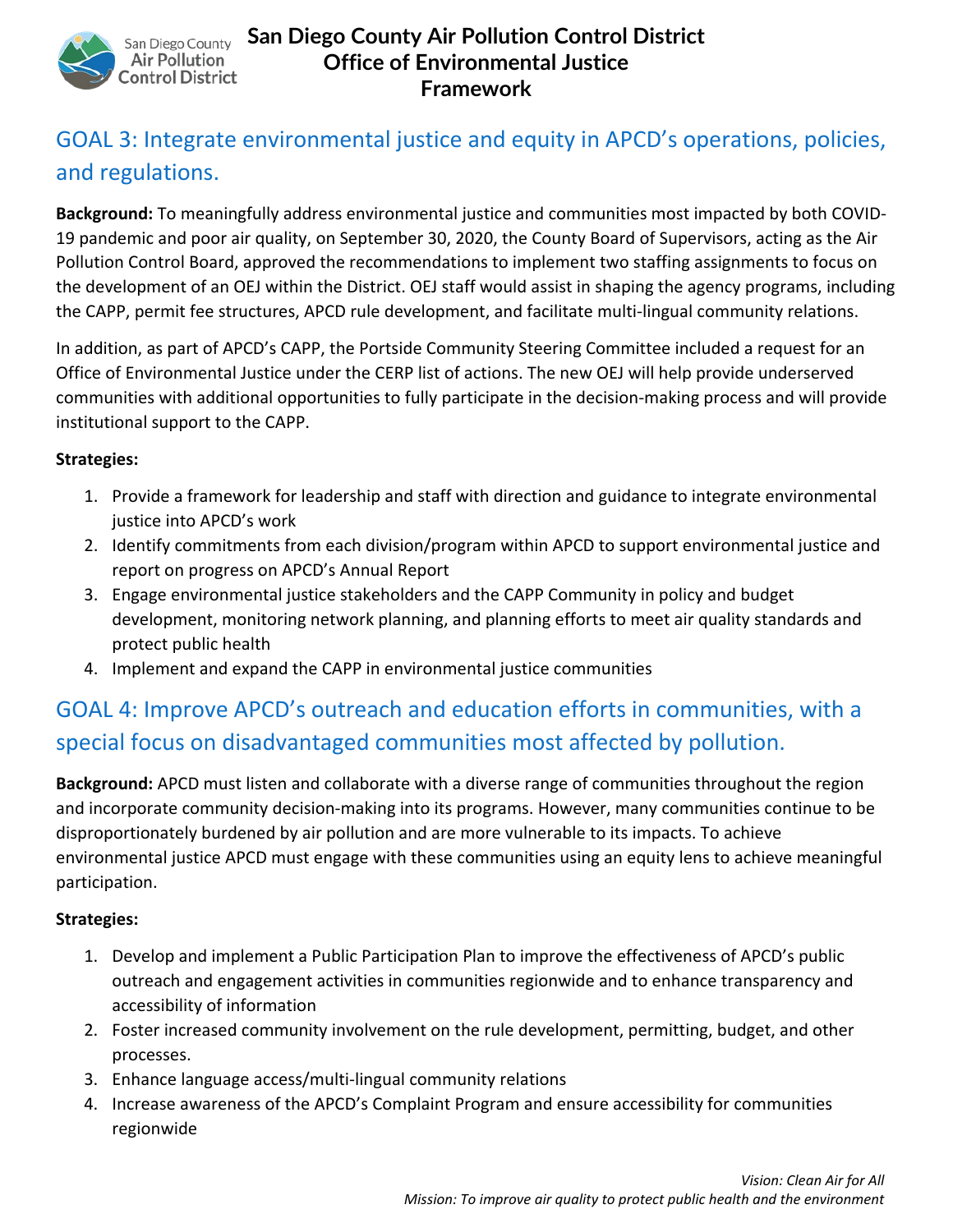

# GOAL 3: Integrate environmental justice and equity in APCD's operations, policies, and regulations.

**Background:** To meaningfully address environmental justice and communities most impacted by both COVID-19 pandemic and poor air quality, on September 30, 2020, the County Board of Supervisors, acting as the Air Pollution Control Board, approved the recommendations to implement two staffing assignments to focus on the development of an OEJ within the District. OEJ staff would assist in shaping the agency programs, including the CAPP, permit fee structures, APCD rule development, and facilitate multi-lingual community relations.

In addition, as part of APCD's CAPP, the Portside Community Steering Committee included a request for an Office of Environmental Justice under the CERP list of actions. The new OEJ will help provide underserved communities with additional opportunities to fully participate in the decision-making process and will provide institutional support to the CAPP.

#### **Strategies:**

- 1. Provide a framework for leadership and staff with direction and guidance to integrate environmental justice into APCD's work
- 2. Identify commitments from each division/program within APCD to support environmental justice and report on progress on APCD's Annual Report
- 3. Engage environmental justice stakeholders and the CAPP Community in policy and budget development, monitoring network planning, and planning efforts to meet air quality standards and protect public health
- 4. Implement and expand the CAPP in environmental justice communities

# GOAL 4: Improve APCD's outreach and education efforts in communities, with a special focus on disadvantaged communities most affected by pollution.

**Background:** APCD must listen and collaborate with a diverse range of communities throughout the region and incorporate community decision-making into its programs. However, many communities continue to be disproportionately burdened by air pollution and are more vulnerable to its impacts. To achieve environmental justice APCD must engage with these communities using an equity lens to achieve meaningful participation.

#### **Strategies:**

- 1. Develop and implement a Public Participation Plan to improve the effectiveness of APCD's public outreach and engagement activities in communities regionwide and to enhance transparency and accessibility of information
- 2. Foster increased community involvement on the rule development, permitting, budget, and other processes.
- 3. Enhance language access/multi-lingual community relations
- 4. Increase awareness of the APCD's Complaint Program and ensure accessibility for communities regionwide